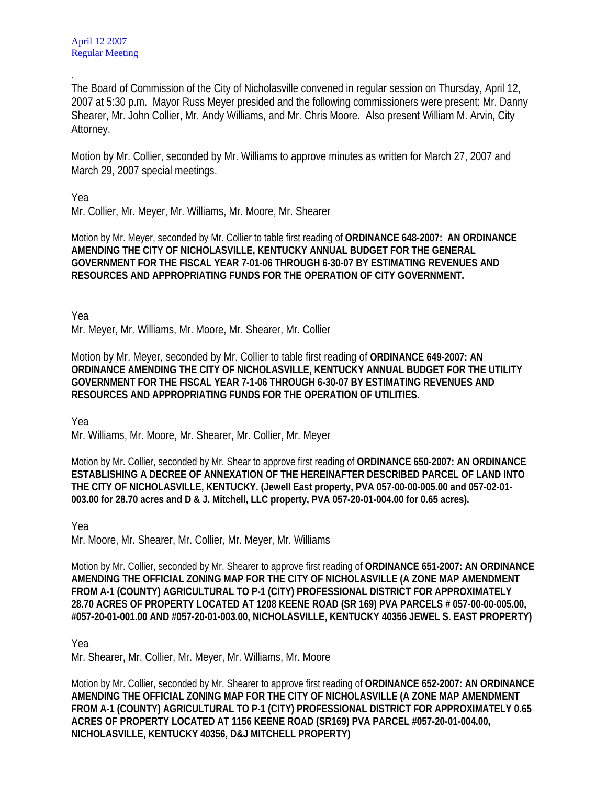The Board of Commission of the City of Nicholasville convened in regular session on Thursday, April 12, 2007 at 5:30 p.m. Mayor Russ Meyer presided and the following commissioners were present: Mr. Danny Shearer, Mr. John Collier, Mr. Andy Williams, and Mr. Chris Moore. Also present William M. Arvin, City Attorney.

Motion by Mr. Collier, seconded by Mr. Williams to approve minutes as written for March 27, 2007 and March 29, 2007 special meetings.

Yea

.

Mr. Collier, Mr. Meyer, Mr. Williams, Mr. Moore, Mr. Shearer

Motion by Mr. Meyer, seconded by Mr. Collier to table first reading of **ORDINANCE 648-2007: AN ORDINANCE AMENDING THE CITY OF NICHOLASVILLE, KENTUCKY ANNUAL BUDGET FOR THE GENERAL GOVERNMENT FOR THE FISCAL YEAR 7-01-06 THROUGH 6-30-07 BY ESTIMATING REVENUES AND RESOURCES AND APPROPRIATING FUNDS FOR THE OPERATION OF CITY GOVERNMENT.** 

Yea

Mr. Meyer, Mr. Williams, Mr. Moore, Mr. Shearer, Mr. Collier

Motion by Mr. Meyer, seconded by Mr. Collier to table first reading of **ORDINANCE 649-2007: AN ORDINANCE AMENDING THE CITY OF NICHOLASVILLE, KENTUCKY ANNUAL BUDGET FOR THE UTILITY GOVERNMENT FOR THE FISCAL YEAR 7-1-06 THROUGH 6-30-07 BY ESTIMATING REVENUES AND RESOURCES AND APPROPRIATING FUNDS FOR THE OPERATION OF UTILITIES.**

Yea

Mr. Williams, Mr. Moore, Mr. Shearer, Mr. Collier, Mr. Meyer

Motion by Mr. Collier, seconded by Mr. Shear to approve first reading of **ORDINANCE 650-2007: AN ORDINANCE ESTABLISHING A DECREE OF ANNEXATION OF THE HEREINAFTER DESCRIBED PARCEL OF LAND INTO THE CITY OF NICHOLASVILLE, KENTUCKY. (Jewell East property, PVA 057-00-00-005.00 and 057-02-01- 003.00 for 28.70 acres and D & J. Mitchell, LLC property, PVA 057-20-01-004.00 for 0.65 acres).** 

Yea

Mr. Moore, Mr. Shearer, Mr. Collier, Mr. Meyer, Mr. Williams

Motion by Mr. Collier, seconded by Mr. Shearer to approve first reading of **ORDINANCE 651-2007: AN ORDINANCE AMENDING THE OFFICIAL ZONING MAP FOR THE CITY OF NICHOLASVILLE (A ZONE MAP AMENDMENT FROM A-1 (COUNTY) AGRICULTURAL TO P-1 (CITY) PROFESSIONAL DISTRICT FOR APPROXIMATELY 28.70 ACRES OF PROPERTY LOCATED AT 1208 KEENE ROAD (SR 169) PVA PARCELS # 057-00-00-005.00, #057-20-01-001.00 AND #057-20-01-003.00, NICHOLASVILLE, KENTUCKY 40356 JEWEL S. EAST PROPERTY)** 

Yea

Mr. Shearer, Mr. Collier, Mr. Meyer, Mr. Williams, Mr. Moore

Motion by Mr. Collier, seconded by Mr. Shearer to approve first reading of **ORDINANCE 652-2007: AN ORDINANCE AMENDING THE OFFICIAL ZONING MAP FOR THE CITY OF NICHOLASVILLE (A ZONE MAP AMENDMENT FROM A-1 (COUNTY) AGRICULTURAL TO P-1 (CITY) PROFESSIONAL DISTRICT FOR APPROXIMATELY 0.65 ACRES OF PROPERTY LOCATED AT 1156 KEENE ROAD (SR169) PVA PARCEL #057-20-01-004.00, NICHOLASVILLE, KENTUCKY 40356, D&J MITCHELL PROPERTY)**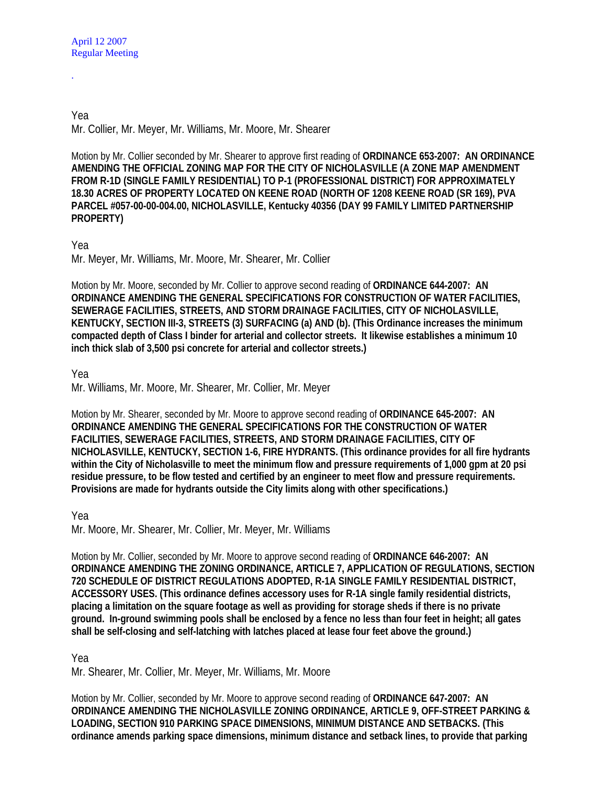.

Yea Mr. Collier, Mr. Meyer, Mr. Williams, Mr. Moore, Mr. Shearer

Motion by Mr. Collier seconded by Mr. Shearer to approve first reading of **ORDINANCE 653-2007: AN ORDINANCE AMENDING THE OFFICIAL ZONING MAP FOR THE CITY OF NICHOLASVILLE (A ZONE MAP AMENDMENT FROM R-1D (SINGLE FAMILY RESIDENTIAL) TO P-1 (PROFESSIONAL DISTRICT) FOR APPROXIMATELY 18.30 ACRES OF PROPERTY LOCATED ON KEENE ROAD (NORTH OF 1208 KEENE ROAD (SR 169), PVA PARCEL #057-00-00-004.00, NICHOLASVILLE, Kentucky 40356 (DAY 99 FAMILY LIMITED PARTNERSHIP PROPERTY)** 

## Yea

Mr. Meyer, Mr. Williams, Mr. Moore, Mr. Shearer, Mr. Collier

Motion by Mr. Moore, seconded by Mr. Collier to approve second reading of **ORDINANCE 644-2007: AN ORDINANCE AMENDING THE GENERAL SPECIFICATIONS FOR CONSTRUCTION OF WATER FACILITIES, SEWERAGE FACILITIES, STREETS, AND STORM DRAINAGE FACILITIES, CITY OF NICHOLASVILLE, KENTUCKY, SECTION III-3, STREETS (3) SURFACING (a) AND (b). (This Ordinance increases the minimum compacted depth of Class I binder for arterial and collector streets. It likewise establishes a minimum 10 inch thick slab of 3,500 psi concrete for arterial and collector streets.)** 

## Yea

Mr. Williams, Mr. Moore, Mr. Shearer, Mr. Collier, Mr. Meyer

Motion by Mr. Shearer, seconded by Mr. Moore to approve second reading of **ORDINANCE 645-2007: AN ORDINANCE AMENDING THE GENERAL SPECIFICATIONS FOR THE CONSTRUCTION OF WATER FACILITIES, SEWERAGE FACILITIES, STREETS, AND STORM DRAINAGE FACILITIES, CITY OF NICHOLASVILLE, KENTUCKY, SECTION 1-6, FIRE HYDRANTS. (This ordinance provides for all fire hydrants within the City of Nicholasville to meet the minimum flow and pressure requirements of 1,000 gpm at 20 psi residue pressure, to be flow tested and certified by an engineer to meet flow and pressure requirements. Provisions are made for hydrants outside the City limits along with other specifications.)** 

Yea

Mr. Moore, Mr. Shearer, Mr. Collier, Mr. Meyer, Mr. Williams

Motion by Mr. Collier, seconded by Mr. Moore to approve second reading of **ORDINANCE 646-2007: AN ORDINANCE AMENDING THE ZONING ORDINANCE, ARTICLE 7, APPLICATION OF REGULATIONS, SECTION 720 SCHEDULE OF DISTRICT REGULATIONS ADOPTED, R-1A SINGLE FAMILY RESIDENTIAL DISTRICT, ACCESSORY USES. (This ordinance defines accessory uses for R-1A single family residential districts, placing a limitation on the square footage as well as providing for storage sheds if there is no private ground. In-ground swimming pools shall be enclosed by a fence no less than four feet in height; all gates shall be self-closing and self-latching with latches placed at lease four feet above the ground.)** 

## Yea

Mr. Shearer, Mr. Collier, Mr. Meyer, Mr. Williams, Mr. Moore

Motion by Mr. Collier, seconded by Mr. Moore to approve second reading of **ORDINANCE 647-2007: AN ORDINANCE AMENDING THE NICHOLASVILLE ZONING ORDINANCE, ARTICLE 9, OFF-STREET PARKING & LOADING, SECTION 910 PARKING SPACE DIMENSIONS, MINIMUM DISTANCE AND SETBACKS. (This ordinance amends parking space dimensions, minimum distance and setback lines, to provide that parking**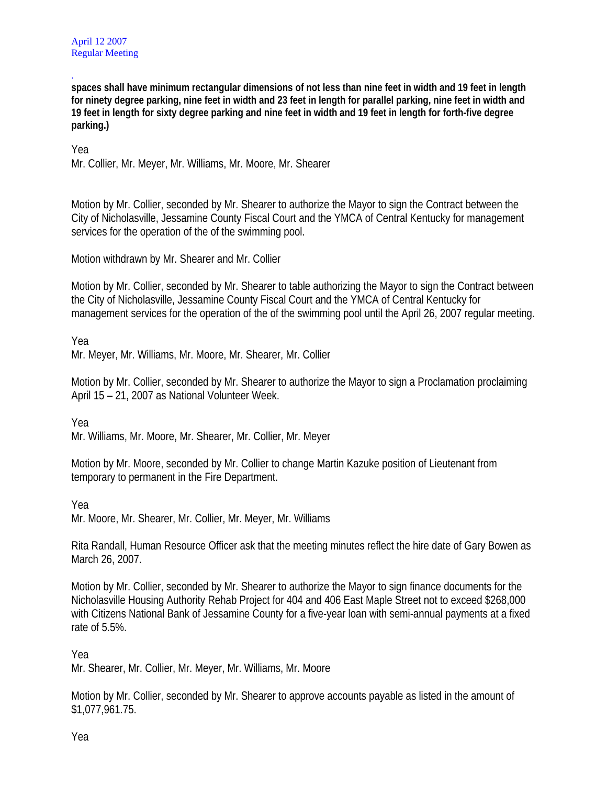. **spaces shall have minimum rectangular dimensions of not less than nine feet in width and 19 feet in length for ninety degree parking, nine feet in width and 23 feet in length for parallel parking, nine feet in width and 19 feet in length for sixty degree parking and nine feet in width and 19 feet in length for forth-five degree parking.)** 

Yea

Mr. Collier, Mr. Meyer, Mr. Williams, Mr. Moore, Mr. Shearer

Motion by Mr. Collier, seconded by Mr. Shearer to authorize the Mayor to sign the Contract between the City of Nicholasville, Jessamine County Fiscal Court and the YMCA of Central Kentucky for management services for the operation of the of the swimming pool.

Motion withdrawn by Mr. Shearer and Mr. Collier

Motion by Mr. Collier, seconded by Mr. Shearer to table authorizing the Mayor to sign the Contract between the City of Nicholasville, Jessamine County Fiscal Court and the YMCA of Central Kentucky for management services for the operation of the of the swimming pool until the April 26, 2007 regular meeting.

Yea

Mr. Meyer, Mr. Williams, Mr. Moore, Mr. Shearer, Mr. Collier

Motion by Mr. Collier, seconded by Mr. Shearer to authorize the Mayor to sign a Proclamation proclaiming April 15 – 21, 2007 as National Volunteer Week.

Yea

Mr. Williams, Mr. Moore, Mr. Shearer, Mr. Collier, Mr. Meyer

Motion by Mr. Moore, seconded by Mr. Collier to change Martin Kazuke position of Lieutenant from temporary to permanent in the Fire Department.

Yea

Mr. Moore, Mr. Shearer, Mr. Collier, Mr. Meyer, Mr. Williams

Rita Randall, Human Resource Officer ask that the meeting minutes reflect the hire date of Gary Bowen as March 26, 2007.

Motion by Mr. Collier, seconded by Mr. Shearer to authorize the Mayor to sign finance documents for the Nicholasville Housing Authority Rehab Project for 404 and 406 East Maple Street not to exceed \$268,000 with Citizens National Bank of Jessamine County for a five-year loan with semi-annual payments at a fixed rate of 5.5%.

Yea

Mr. Shearer, Mr. Collier, Mr. Meyer, Mr. Williams, Mr. Moore

Motion by Mr. Collier, seconded by Mr. Shearer to approve accounts payable as listed in the amount of \$1,077,961.75.